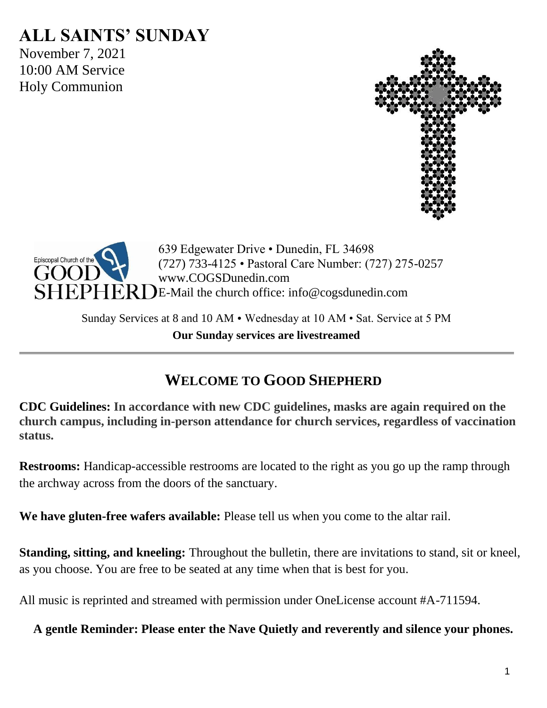# **ALL SAINTS' SUNDAY**

November 7, 2021 10:00 AM Service Holy Communion





639 Edgewater Drive • Dunedin, FL 34698 (727) 733-4125 • Pastoral Care Number: (727) 275-0257 www.COGSDunedin.com E-Mail the church office: info@cogsdunedin.com

Sunday Services at 8 and 10 AM • Wednesday at 10 AM • Sat. Service at 5 PM **Our Sunday services are livestreamed**

# **WELCOME TO GOOD SHEPHERD**

**CDC Guidelines: In accordance with new CDC guidelines, masks are again required on the church campus, including in-person attendance for church services, regardless of vaccination status.**

**Restrooms:** Handicap-accessible restrooms are located to the right as you go up the ramp through the archway across from the doors of the sanctuary.

**We have gluten-free wafers available:** Please tell us when you come to the altar rail.

**Standing, sitting, and kneeling:** Throughout the bulletin, there are invitations to stand, sit or kneel, as you choose. You are free to be seated at any time when that is best for you.

All music is reprinted and streamed with permission under OneLicense account #A-711594.

**A gentle Reminder: Please enter the Nave Quietly and reverently and silence your phones.**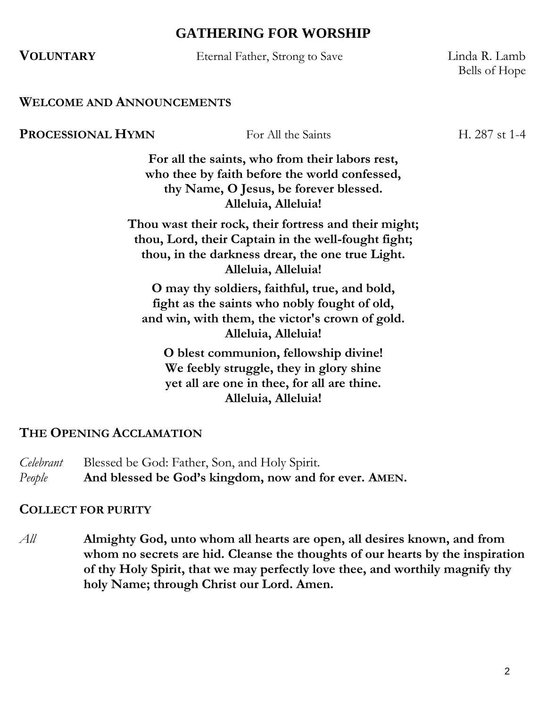## **GATHERING FOR WORSHIP**

| <b>VOLUNTARY</b>                 | Eternal Father, Strong to Save                                                                                                                                                          | Linda R. Lamb<br>Bells of Hope |
|----------------------------------|-----------------------------------------------------------------------------------------------------------------------------------------------------------------------------------------|--------------------------------|
| <b>WELCOME AND ANNOUNCEMENTS</b> |                                                                                                                                                                                         |                                |
| PROCESSIONAL HYMN                | For All the Saints                                                                                                                                                                      | H. 287 st 1-4                  |
|                                  | For all the saints, who from their labors rest,<br>who thee by faith before the world confessed,<br>thy Name, O Jesus, be forever blessed.<br>Alleluia, Alleluia!                       |                                |
|                                  | Thou wast their rock, their fortress and their might;<br>thou, Lord, their Captain in the well-fought fight;<br>thou, in the darkness drear, the one true Light.<br>Alleluia, Alleluia! |                                |
|                                  | O may thy soldiers, faithful, true, and bold,<br>fight as the saints who nobly fought of old,<br>and win, with them, the victor's crown of gold.<br>Alleluia, Alleluia!                 |                                |
|                                  | O blest communion, fellowship divine!<br>We feebly struggle, they in glory shine<br>yet all are one in thee, for all are thine.<br>Alleluia, Alleluia!                                  |                                |

#### **THE OPENING ACCLAMATION**

*Celebrant* Blessed be God: Father, Son, and Holy Spirit. *People* **And blessed be God's kingdom, now and for ever. AMEN.**

#### **COLLECT FOR PURITY**

*All* **Almighty God, unto whom all hearts are open, all desires known, and from whom no secrets are hid. Cleanse the thoughts of our hearts by the inspiration of thy Holy Spirit, that we may perfectly love thee, and worthily magnify thy holy Name; through Christ our Lord. Amen.**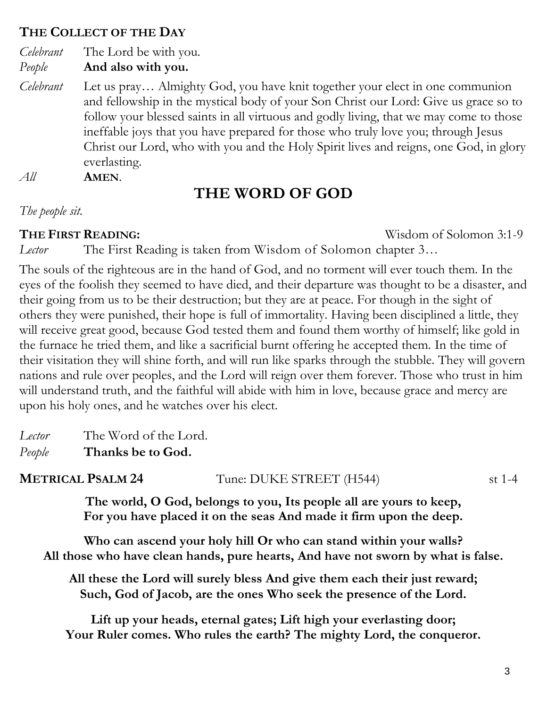#### **THE COLLECT OF THE DAY**

*Celebrant* The Lord be with you.

*People* **And also with you.**

*Celebrant* Let us pray… Almighty God, you have knit together your elect in one communion and fellowship in the mystical body of your Son Christ our Lord: Give us grace so to follow your blessed saints in all virtuous and godly living, that we may come to those ineffable joys that you have prepared for those who truly love you; through Jesus Christ our Lord, who with you and the Holy Spirit lives and reigns, one God, in glory everlasting.

*All* **AMEN**.

# **THE WORD OF GOD**

*The people sit.*

**THE FIRST READING:** Wisdom of Solomon 3:1-9

*Lector* The First Reading is taken from Wisdom of Solomon chapter 3…

The souls of the righteous are in the hand of God, and no torment will ever touch them. In the eyes of the foolish they seemed to have died, and their departure was thought to be a disaster, and their going from us to be their destruction; but they are at peace. For though in the sight of others they were punished, their hope is full of immortality. Having been disciplined a little, they will receive great good, because God tested them and found them worthy of himself; like gold in the furnace he tried them, and like a sacrificial burnt offering he accepted them. In the time of their visitation they will shine forth, and will run like sparks through the stubble. They will govern nations and rule over peoples, and the Lord will reign over them forever. Those who trust in him will understand truth, and the faithful will abide with him in love, because grace and mercy are upon his holy ones, and he watches over his elect.

*Lector* The Word of the Lord. *People* **Thanks be to God.**

**METRICAL PSALM 24** Tune: DUKE STREET (H544) st 1-4

**The world, O God, belongs to you, Its people all are yours to keep, For you have placed it on the seas And made it firm upon the deep.**

**Who can ascend your holy hill Or who can stand within your walls? All those who have clean hands, pure hearts, And have not sworn by what is false.**

**All these the Lord will surely bless And give them each their just reward; Such, God of Jacob, are the ones Who seek the presence of the Lord.**

**Lift up your heads, eternal gates; Lift high your everlasting door; Your Ruler comes. Who rules the earth? The mighty Lord, the conqueror.**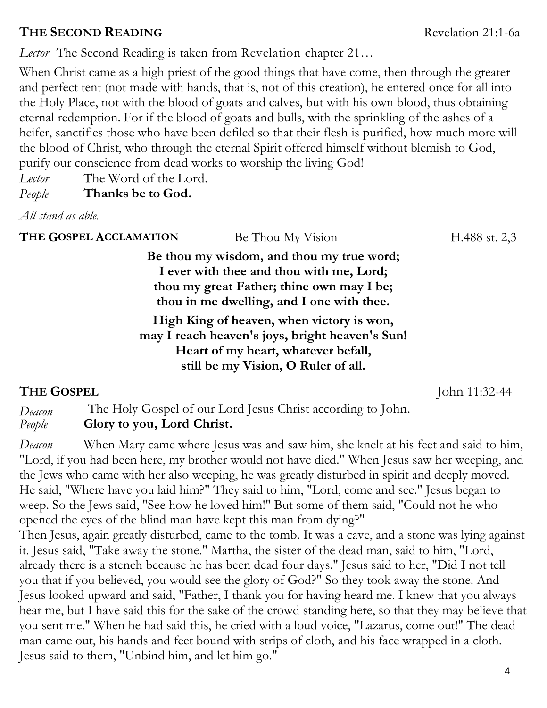## **THE SECOND READING** Revelation 21:1-6a

*Lector* The Second Reading is taken from Revelation chapter 21…

When Christ came as a high priest of the good things that have come, then through the greater and perfect tent (not made with hands, that is, not of this creation), he entered once for all into the Holy Place, not with the blood of goats and calves, but with his own blood, thus obtaining eternal redemption. For if the blood of goats and bulls, with the sprinkling of the ashes of a heifer, sanctifies those who have been defiled so that their flesh is purified, how much more will the blood of Christ, who through the eternal Spirit offered himself without blemish to God, purify our conscience from dead works to worship the living God!

*Lector* The Word of the Lord.

*People* **Thanks be to God.**

*All stand as able.*

**THE GOSPEL ACCLAMATION** Be Thou My Vision **H.488** st. 2,3

**Be thou my wisdom, and thou my true word; I ever with thee and thou with me, Lord; thou my great Father; thine own may I be; thou in me dwelling, and I one with thee.**

**High King of heaven, when victory is won, may I reach heaven's joys, bright heaven's Sun! Heart of my heart, whatever befall, still be my Vision, O Ruler of all.**

## **THE GOSPEL** John 11:32-44

*Deacon* The Holy Gospel of our Lord Jesus Christ according to John. *People* **Glory to you, Lord Christ.**

*Deacon* When Mary came where Jesus was and saw him, she knelt at his feet and said to him, "Lord, if you had been here, my brother would not have died." When Jesus saw her weeping, and the Jews who came with her also weeping, he was greatly disturbed in spirit and deeply moved. He said, "Where have you laid him?" They said to him, "Lord, come and see." Jesus began to weep. So the Jews said, "See how he loved him!" But some of them said, "Could not he who opened the eyes of the blind man have kept this man from dying?"

Then Jesus, again greatly disturbed, came to the tomb. It was a cave, and a stone was lying against it. Jesus said, "Take away the stone." Martha, the sister of the dead man, said to him, "Lord, already there is a stench because he has been dead four days." Jesus said to her, "Did I not tell you that if you believed, you would see the glory of God?" So they took away the stone. And Jesus looked upward and said, "Father, I thank you for having heard me. I knew that you always hear me, but I have said this for the sake of the crowd standing here, so that they may believe that you sent me." When he had said this, he cried with a loud voice, "Lazarus, come out!" The dead man came out, his hands and feet bound with strips of cloth, and his face wrapped in a cloth. Jesus said to them, "Unbind him, and let him go."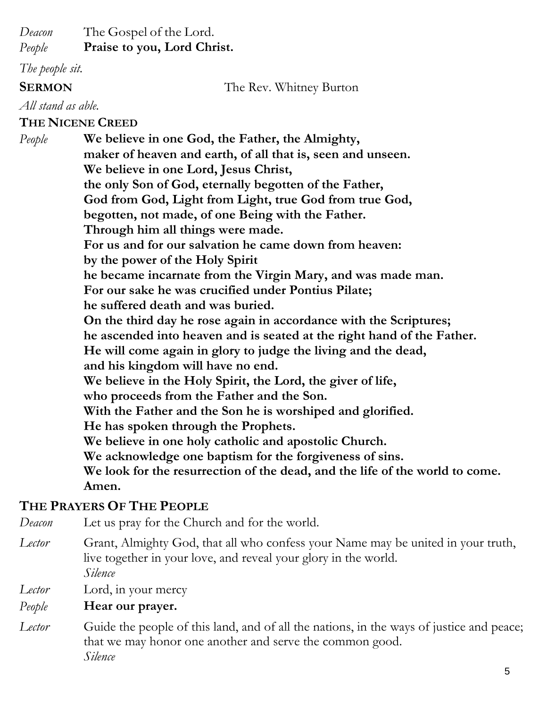*Deacon* The Gospel of the Lord.

*People* **Praise to you, Lord Christ.**

*The people sit.*

#### **SERMON** The Rev. Whitney Burton

*All stand as able.*

**THE NICENE CREED**

*People* **We believe in one God, the Father, the Almighty, maker of heaven and earth, of all that is, seen and unseen. We believe in one Lord, Jesus Christ, the only Son of God, eternally begotten of the Father, God from God, Light from Light, true God from true God, begotten, not made, of one Being with the Father. Through him all things were made. For us and for our salvation he came down from heaven: by the power of the Holy Spirit he became incarnate from the Virgin Mary, and was made man. For our sake he was crucified under Pontius Pilate; he suffered death and was buried. On the third day he rose again in accordance with the Scriptures; he ascended into heaven and is seated at the right hand of the Father. He will come again in glory to judge the living and the dead, and his kingdom will have no end. We believe in the Holy Spirit, the Lord, the giver of life, who proceeds from the Father and the Son. With the Father and the Son he is worshiped and glorified. He has spoken through the Prophets. We believe in one holy catholic and apostolic Church. We acknowledge one baptism for the forgiveness of sins. We look for the resurrection of the dead, and the life of the world to come. Amen.**

## **THE PRAYERS OF THE PEOPLE**

*Deacon* Let us pray for the Church and for the world.

*Lector* Grant, Almighty God, that all who confess your Name may be united in your truth, live together in your love, and reveal your glory in the world. *Silence*

*Lector* Lord, in your mercy

#### *People* **Hear our prayer.**

*Lector* Guide the people of this land, and of all the nations, in the ways of justice and peace; that we may honor one another and serve the common good. *Silence*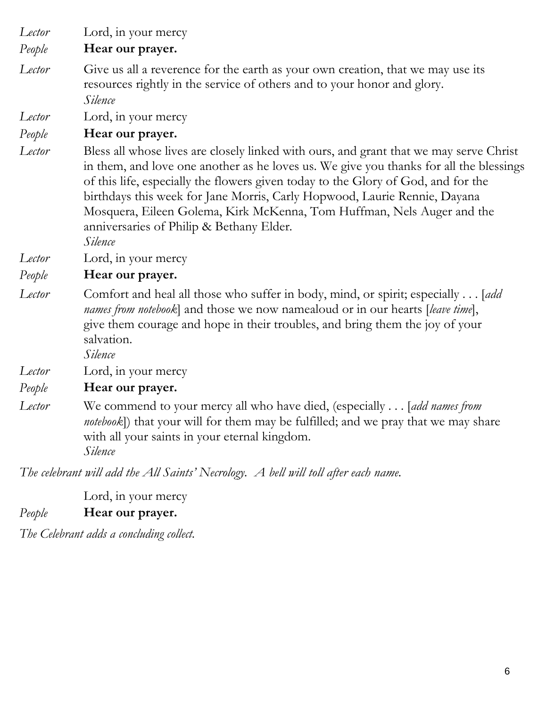*Lector* Lord, in your mercy

*People* **Hear our prayer.**

*Lector* Give us all a reverence for the earth as your own creation, that we may use its resources rightly in the service of others and to your honor and glory. *Silence*

*Lector* Lord, in your mercy

## *People* **Hear our prayer.**

*Lector* Bless all whose lives are closely linked with ours, and grant that we may serve Christ in them, and love one another as he loves us. We give you thanks for all the blessings of this life, especially the flowers given today to the Glory of God, and for the birthdays this week for Jane Morris, Carly Hopwood, Laurie Rennie, Dayana Mosquera, Eileen Golema, Kirk McKenna, Tom Huffman, Nels Auger and the anniversaries of Philip & Bethany Elder*. Silence*

*Lector* Lord, in your mercy

#### *People* **Hear our prayer.**

*Lector* Comfort and heal all those who suffer in body, mind, or spirit; especially . . . [*add names from notebook*] and those we now namealoud or in our hearts [*leave time*], give them courage and hope in their troubles, and bring them the joy of your salvation.

*Silence*

*Lector* Lord, in your mercy

#### *People* **Hear our prayer.**

*Lector* We commend to your mercy all who have died, (especially . . . [*add names from notebook*]) that your will for them may be fulfilled; and we pray that we may share with all your saints in your eternal kingdom. *Silence*

*The celebrant will add the All Saints' Necrology. A bell will toll after each name.* 

Lord, in your mercy

*People* **Hear our prayer.**

*The Celebrant adds a concluding collect.*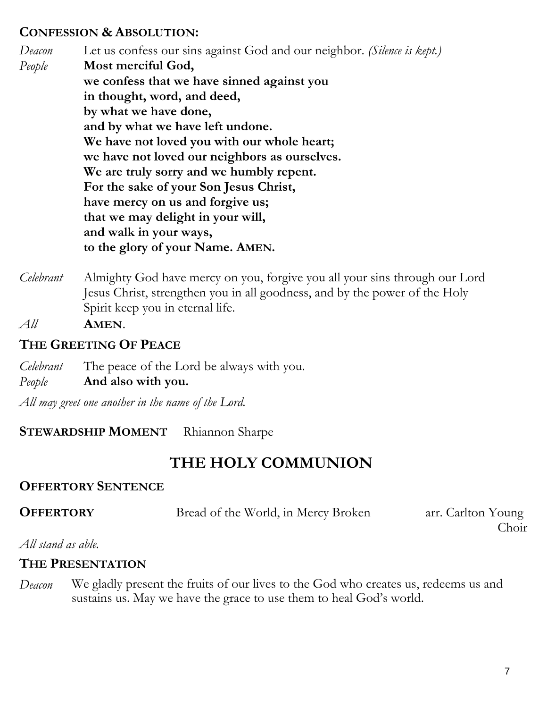#### **CONFESSION & ABSOLUTION:**

*Deacon* Let us confess our sins against God and our neighbor. *(Silence is kept.) People* **Most merciful God, we confess that we have sinned against you in thought, word, and deed, by what we have done, and by what we have left undone. We have not loved you with our whole heart; we have not loved our neighbors as ourselves. We are truly sorry and we humbly repent. For the sake of your Son Jesus Christ, have mercy on us and forgive us; that we may delight in your will, and walk in your ways, to the glory of your Name. AMEN.**

- *Celebrant* Almighty God have mercy on you, forgive you all your sins through our Lord Jesus Christ, strengthen you in all goodness, and by the power of the Holy Spirit keep you in eternal life.
- *All* **AMEN**.

## **THE GREETING OF PEACE**

- *Celebrant* The peace of the Lord be always with you.
- *People* **And also with you.**

*All may greet one another in the name of the Lord.*

#### **STEWARDSHIP MOMENT** Rhiannon Sharpe

# **THE HOLY COMMUNION**

#### **OFFERTORY SENTENCE**

| <b>OFFERTORY</b><br>Bread of the World, in Mercy Broken | arr. Carlton Young |
|---------------------------------------------------------|--------------------|
|---------------------------------------------------------|--------------------|

Choir

#### *All stand as able.*

## **THE PRESENTATION**

*Deacon* We gladly present the fruits of our lives to the God who creates us, redeems us and sustains us. May we have the grace to use them to heal God's world.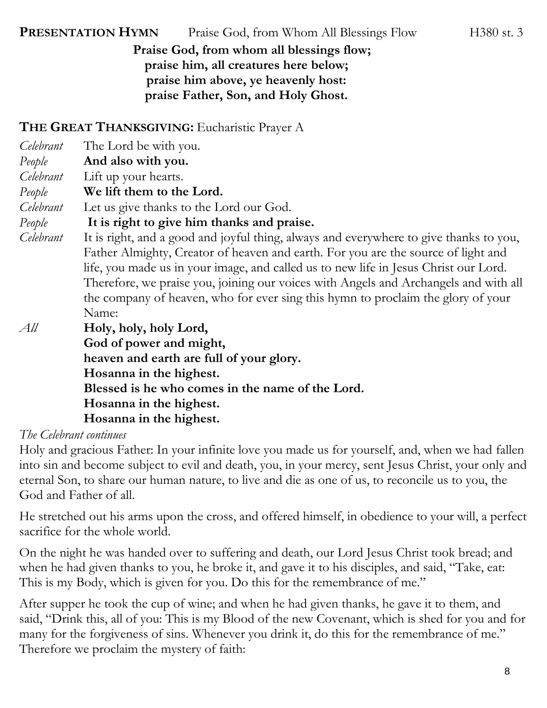**PRESENTATION HYMN** Praise God, from Whom All Blessings Flow H380 st. 3

**Praise God, from whom all blessings flow; praise him, all creatures here below; praise him above, ye heavenly host: praise Father, Son, and Holy Ghost.**

**THE GREAT THANKSGIVING:** Eucharistic Prayer A

| Celebrant | The Lord be with you.                                                                  |  |  |
|-----------|----------------------------------------------------------------------------------------|--|--|
| People    | And also with you.                                                                     |  |  |
| Celebrant | Lift up your hearts.                                                                   |  |  |
| People    | We lift them to the Lord.                                                              |  |  |
| Celebrant | Let us give thanks to the Lord our God.                                                |  |  |
| People    | It is right to give him thanks and praise.                                             |  |  |
| Celebrant | It is right, and a good and joyful thing, always and everywhere to give thanks to you, |  |  |
|           | Father Almighty, Creator of heaven and earth. For you are the source of light and      |  |  |
|           | life, you made us in your image, and called us to new life in Jesus Christ our Lord.   |  |  |
|           | Therefore, we praise you, joining our voices with Angels and Archangels and with all   |  |  |
|           | the company of heaven, who for ever sing this hymn to proclaim the glory of your       |  |  |
|           | Name:                                                                                  |  |  |
| All       | Holy, holy, holy Lord,                                                                 |  |  |
|           | God of power and might,                                                                |  |  |
|           | heaven and earth are full of your glory.                                               |  |  |
|           | Hosanna in the highest.                                                                |  |  |
|           | Blessed is he who comes in the name of the Lord.                                       |  |  |
|           | Hosanna in the highest.                                                                |  |  |
|           | Hosanna in the highest.                                                                |  |  |

#### *The Celebrant continues*

Holy and gracious Father: In your infinite love you made us for yourself, and, when we had fallen into sin and become subject to evil and death, you, in your mercy, sent Jesus Christ, your only and eternal Son, to share our human nature, to live and die as one of us, to reconcile us to you, the God and Father of all.

He stretched out his arms upon the cross, and offered himself, in obedience to your will, a perfect sacrifice for the whole world.

On the night he was handed over to suffering and death, our Lord Jesus Christ took bread; and when he had given thanks to you, he broke it, and gave it to his disciples, and said, "Take, eat: This is my Body, which is given for you. Do this for the remembrance of me."

After supper he took the cup of wine; and when he had given thanks, he gave it to them, and said, "Drink this, all of you: This is my Blood of the new Covenant, which is shed for you and for many for the forgiveness of sins. Whenever you drink it, do this for the remembrance of me." Therefore we proclaim the mystery of faith: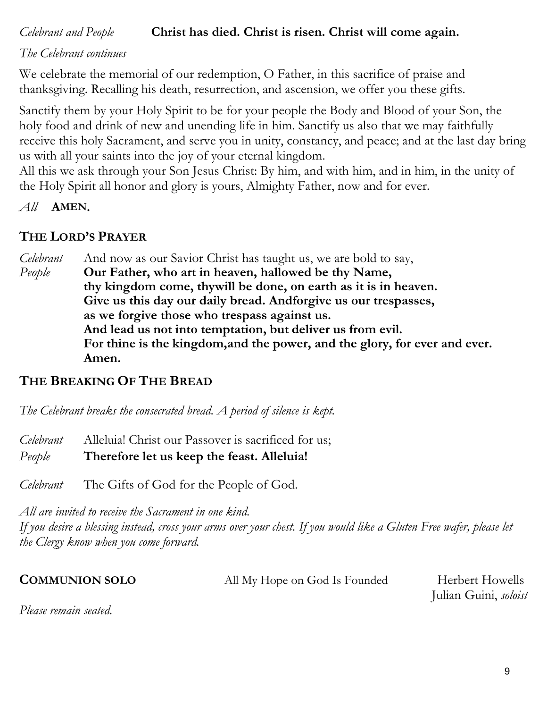# *Celebrant and People* **Christ has died. Christ is risen. Christ will come again.**

*The Celebrant continues*

We celebrate the memorial of our redemption, O Father, in this sacrifice of praise and thanksgiving. Recalling his death, resurrection, and ascension, we offer you these gifts.

Sanctify them by your Holy Spirit to be for your people the Body and Blood of your Son, the holy food and drink of new and unending life in him. Sanctify us also that we may faithfully receive this holy Sacrament, and serve you in unity, constancy, and peace; and at the last day bring us with all your saints into the joy of your eternal kingdom.

All this we ask through your Son Jesus Christ: By him, and with him, and in him, in the unity of the Holy Spirit all honor and glory is yours, Almighty Father, now and for ever.

*All* **AMEN.**

## **THE LORD'S PRAYER**

*Celebrant* And now as our Savior Christ has taught us, we are bold to say, *People* **Our Father, who art in heaven, hallowed be thy Name, thy kingdom come, thywill be done, on earth as it is in heaven. Give us this day our daily bread. Andforgive us our trespasses, as we forgive those who trespass against us. And lead us not into temptation, but deliver us from evil. For thine is the kingdom,and the power, and the glory, for ever and ever. Amen.**

#### **THE BREAKING OF THE BREAD**

*The Celebrant breaks the consecrated bread. A period of silence is kept.*

*Celebrant* Alleluia! Christ our Passover is sacrificed for us;

*People* **Therefore let us keep the feast. Alleluia!**

*Celebrant* The Gifts of God for the People of God.

*All are invited to receive the Sacrament in one kind. If you desire a blessing instead, cross your arms over your chest. If you would like a Gluten Free wafer, please let the Clergy know when you come forward.* 

| <b>COMMUNION SOLO</b> | All My Hope on God Is Founded | Herbert Howells       |
|-----------------------|-------------------------------|-----------------------|
|                       |                               | Julian Guini, soloist |

*Please remain seated.*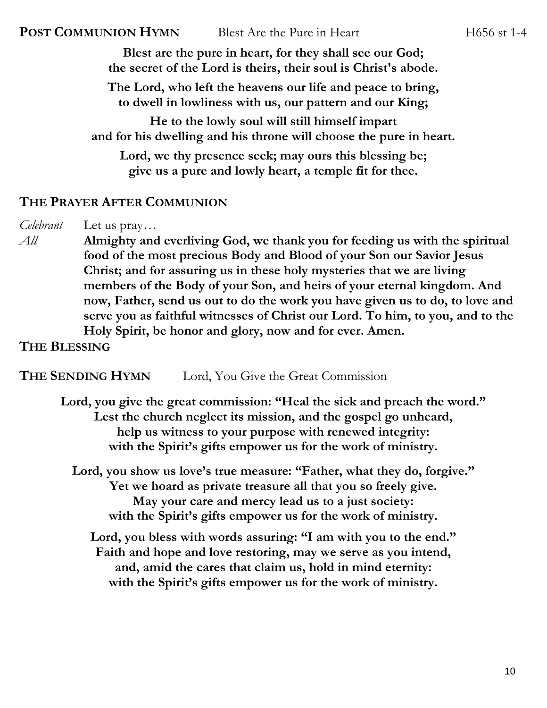**Blest are the pure in heart, for they shall see our God; the secret of the Lord is theirs, their soul is Christ's abode. The Lord, who left the heavens our life and peace to bring, to dwell in lowliness with us, our pattern and our King; He to the lowly soul will still himself impart and for his dwelling and his throne will choose the pure in heart. Lord, we thy presence seek; may ours this blessing be;**

**give us a pure and lowly heart, a temple fit for thee.**

#### **THE PRAYER AFTER COMMUNION**

*Celebrant* Let us pray…

*All* **Almighty and everliving God, we thank you for feeding us with the spiritual food of the most precious Body and Blood of your Son our Savior Jesus Christ; and for assuring us in these holy mysteries that we are living members of the Body of your Son, and heirs of your eternal kingdom. And now, Father, send us out to do the work you have given us to do, to love and serve you as faithful witnesses of Christ our Lord. To him, to you, and to the Holy Spirit, be honor and glory, now and for ever. Amen.**

#### **THE BLESSING**

#### **THE SENDING HYMN** Lord, You Give the Great Commission

**Lord, you give the great commission: "Heal the sick and preach the word." Lest the church neglect its mission, and the gospel go unheard, help us witness to your purpose with renewed integrity: with the Spirit's gifts empower us for the work of ministry.**

**Lord, you show us love's true measure: "Father, what they do, forgive." Yet we hoard as private treasure all that you so freely give. May your care and mercy lead us to a just society: with the Spirit's gifts empower us for the work of ministry.**

**Lord, you bless with words assuring: "I am with you to the end." Faith and hope and love restoring, may we serve as you intend, and, amid the cares that claim us, hold in mind eternity: with the Spirit's gifts empower us for the work of ministry.**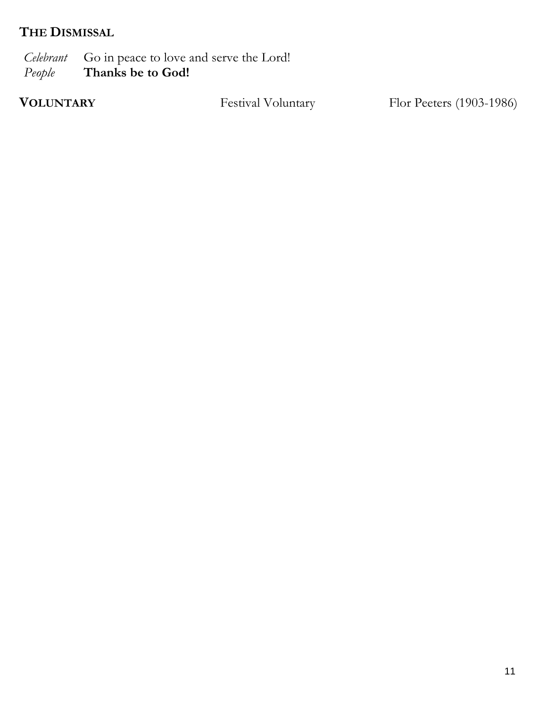# **THE DISMISSAL**

*Celebrant* Go in peace to love and serve the Lord!<br>People **Thanks be to God!** *People* **Thanks be to God!**

**VOLUNTARY** Festival Voluntary Flor Peeters (1903-1986)